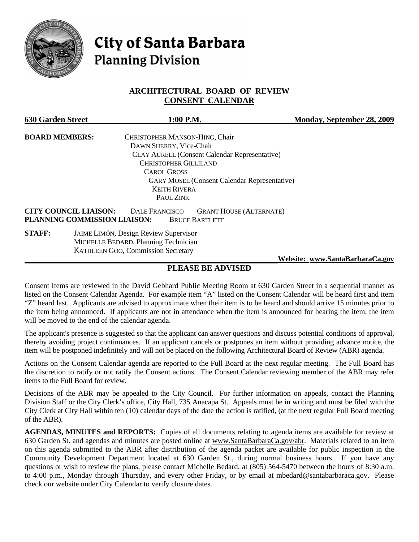

# **City of Santa Barbara Planning Division**

# **ARCHITECTURAL BOARD OF REVIEW CONSENT CALENDAR**

| <b>630 Garden Street</b>     | 1:00 P.M.                                               | Monday, September 28, 2009      |
|------------------------------|---------------------------------------------------------|---------------------------------|
| <b>BOARD MEMBERS:</b>        | CHRISTOPHER MANSON-HING, Chair                          |                                 |
|                              | DAWN SHERRY, Vice-Chair                                 |                                 |
|                              | <b>CLAY AURELL (Consent Calendar Representative)</b>    |                                 |
|                              | <b>CHRISTOPHER GILLILAND</b>                            |                                 |
|                              | <b>CAROL GROSS</b>                                      |                                 |
|                              | <b>GARY MOSEL (Consent Calendar Representative)</b>     |                                 |
|                              | <b>KEITH RIVERA</b>                                     |                                 |
|                              | PAUL ZINK                                               |                                 |
| <b>CITY COUNCIL LIAISON:</b> | <b>DALE FRANCISCO</b><br><b>GRANT HOUSE (ALTERNATE)</b> |                                 |
|                              | PLANNING COMMISSION LIAISON:<br><b>BRUCE BARTLETT</b>   |                                 |
| <b>STAFF:</b>                | <b>JAIME LIMÓN, Design Review Supervisor</b>            |                                 |
|                              | MICHELLE BEDARD, Planning Technician                    |                                 |
|                              | KATHLEEN GOO, Commission Secretary                      |                                 |
|                              |                                                         | Website: www.SantaBarbaraCa.gov |

# **PLEASE BE ADVISED**

Consent Items are reviewed in the David Gebhard Public Meeting Room at 630 Garden Street in a sequential manner as listed on the Consent Calendar Agenda. For example item "A" listed on the Consent Calendar will be heard first and item "Z" heard last. Applicants are advised to approximate when their item is to be heard and should arrive 15 minutes prior to the item being announced. If applicants are not in attendance when the item is announced for hearing the item, the item will be moved to the end of the calendar agenda.

The applicant's presence is suggested so that the applicant can answer questions and discuss potential conditions of approval, thereby avoiding project continuances. If an applicant cancels or postpones an item without providing advance notice, the item will be postponed indefinitely and will not be placed on the following Architectural Board of Review (ABR) agenda.

Actions on the Consent Calendar agenda are reported to the Full Board at the next regular meeting. The Full Board has the discretion to ratify or not ratify the Consent actions. The Consent Calendar reviewing member of the ABR may refer items to the Full Board for review.

Decisions of the ABR may be appealed to the City Council. For further information on appeals, contact the Planning Division Staff or the City Clerk's office, City Hall, 735 Anacapa St. Appeals must be in writing and must be filed with the City Clerk at City Hall within ten (10) calendar days of the date the action is ratified, (at the next regular Full Board meeting of the ABR).

**AGENDAS, MINUTES and REPORTS:** Copies of all documents relating to agenda items are available for review at 630 Garden St. and agendas and minutes are posted online at www.SantaBarbaraCa.gov/abr. Materials related to an item on this agenda submitted to the ABR after distribution of the agenda packet are available for public inspection in the Community Development Department located at 630 Garden St., during normal business hours. If you have any questions or wish to review the plans, please contact Michelle Bedard, at (805) 564-5470 between the hours of 8:30 a.m. to 4:00 p.m., Monday through Thursday, and every other Friday, or by email at mbedard@santabarbaraca.gov. Please check our website under City Calendar to verify closure dates.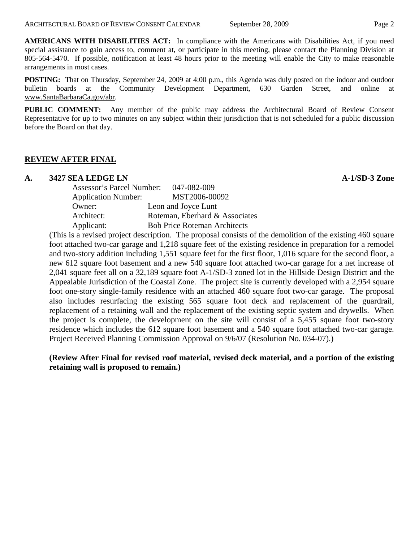**AMERICANS WITH DISABILITIES ACT:** In compliance with the Americans with Disabilities Act, if you need special assistance to gain access to, comment at, or participate in this meeting, please contact the Planning Division at 805-564-5470. If possible, notification at least 48 hours prior to the meeting will enable the City to make reasonable arrangements in most cases.

**POSTING:** That on Thursday, September 24, 2009 at 4:00 p.m., this Agenda was duly posted on the indoor and outdoor bulletin boards at the Community Development Department, 630 Garden Street, and online at www.SantaBarbaraCa.gov/abr.

**PUBLIC COMMENT:** Any member of the public may address the Architectural Board of Review Consent Representative for up to two minutes on any subject within their jurisdiction that is not scheduled for a public discussion before the Board on that day.

# **REVIEW AFTER FINAL**

# **A. 3427 SEA LEDGE LN A-1/SD-3 Zone**

| <b>Assessor's Parcel Number:</b> | 047-082-009                         |
|----------------------------------|-------------------------------------|
| <b>Application Number:</b>       | MST2006-00092                       |
| Owner:                           | Leon and Joyce Lunt                 |
| Architect:                       | Roteman, Eberhard & Associates      |
| Applicant:                       | <b>Bob Price Roteman Architects</b> |
|                                  |                                     |

(This is a revised project description. The proposal consists of the demolition of the existing 460 square foot attached two-car garage and 1,218 square feet of the existing residence in preparation for a remodel and two-story addition including 1,551 square feet for the first floor, 1,016 square for the second floor, a new 612 square foot basement and a new 540 square foot attached two-car garage for a net increase of 2,041 square feet all on a 32,189 square foot A-1/SD-3 zoned lot in the Hillside Design District and the Appealable Jurisdiction of the Coastal Zone. The project site is currently developed with a 2,954 square foot one-story single-family residence with an attached 460 square foot two-car garage. The proposal also includes resurfacing the existing 565 square foot deck and replacement of the guardrail, replacement of a retaining wall and the replacement of the existing septic system and drywells. When the project is complete, the development on the site will consist of a 5,455 square foot two-story residence which includes the 612 square foot basement and a 540 square foot attached two-car garage. Project Received Planning Commission Approval on 9/6/07 (Resolution No. 034-07).)

# **(Review After Final for revised roof material, revised deck material, and a portion of the existing retaining wall is proposed to remain.)**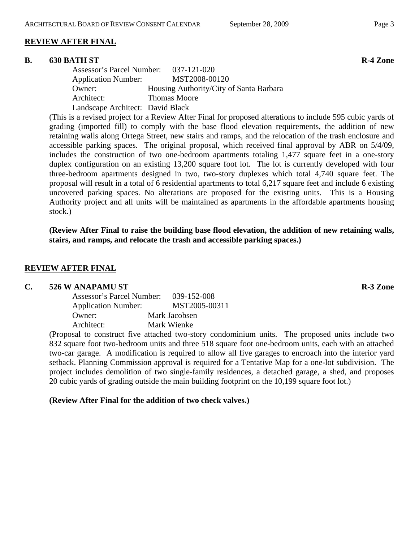# **REVIEW AFTER FINAL**

#### **B.** 630 BATH ST R-4 Zone

| Assessor's Parcel Number: 037-121-020 |                                         |
|---------------------------------------|-----------------------------------------|
| <b>Application Number:</b>            | MST2008-00120                           |
| Owner:                                | Housing Authority/City of Santa Barbara |
| Architect:                            | <b>Thomas Moore</b>                     |
| Landscape Architect: David Black      |                                         |

(This is a revised project for a Review After Final for proposed alterations to include 595 cubic yards of grading (imported fill) to comply with the base flood elevation requirements, the addition of new retaining walls along Ortega Street, new stairs and ramps, and the relocation of the trash enclosure and accessible parking spaces. The original proposal, which received final approval by ABR on 5/4/09, includes the construction of two one-bedroom apartments totaling 1,477 square feet in a one-story duplex configuration on an existing 13,200 square foot lot. The lot is currently developed with four three-bedroom apartments designed in two, two-story duplexes which total 4,740 square feet. The proposal will result in a total of 6 residential apartments to total 6,217 square feet and include 6 existing uncovered parking spaces. No alterations are proposed for the existing units. This is a Housing Authority project and all units will be maintained as apartments in the affordable apartments housing stock.)

**(Review After Final to raise the building base flood elevation, the addition of new retaining walls, stairs, and ramps, and relocate the trash and accessible parking spaces.)** 

### **REVIEW AFTER FINAL**

#### **C. 526 W ANAPAMU ST R-3 Zone**

| Assessor's Parcel Number:  | 039-152-008   |
|----------------------------|---------------|
| <b>Application Number:</b> | MST2005-00311 |
| Owner:                     | Mark Jacobsen |
| Architect:                 | Mark Wienke   |

(Proposal to construct five attached two-story condominium units. The proposed units include two 832 square foot two-bedroom units and three 518 square foot one-bedroom units, each with an attached two-car garage. A modification is required to allow all five garages to encroach into the interior yard setback. Planning Commission approval is required for a Tentative Map for a one-lot subdivision. The project includes demolition of two single-family residences, a detached garage, a shed, and proposes 20 cubic yards of grading outside the main building footprint on the 10,199 square foot lot.)

#### **(Review After Final for the addition of two check valves.)**